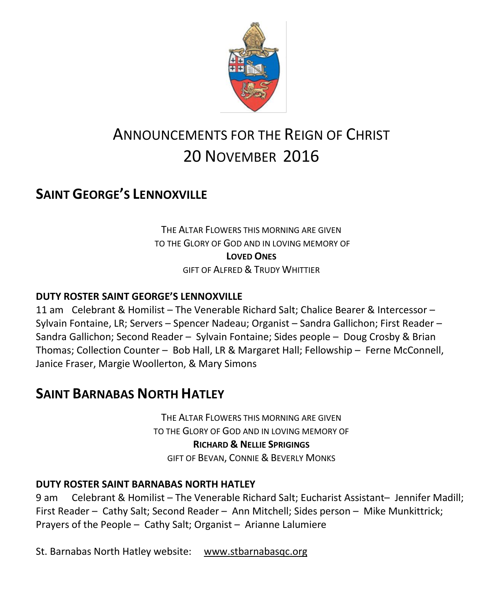

# ANNOUNCEMENTS FOR THE REIGN OF CHRIST 20 NOVEMBER 2016

## **SAINT GEORGE'S LENNOXVILLE**

THE ALTAR FLOWERS THIS MORNING ARE GIVEN TO THE GLORY OF GOD AND IN LOVING MEMORY OF **LOVED ONES** GIFT OF ALFRED & TRUDY WHITTIER

#### **DUTY ROSTER SAINT GEORGE'S LENNOXVILLE**

11 am Celebrant & Homilist – The Venerable Richard Salt; Chalice Bearer & Intercessor – Sylvain Fontaine, LR; Servers – Spencer Nadeau; Organist – Sandra Gallichon; First Reader – Sandra Gallichon; Second Reader – Sylvain Fontaine; Sides people – Doug Crosby & Brian Thomas; Collection Counter – Bob Hall, LR & Margaret Hall; Fellowship – Ferne McConnell, Janice Fraser, Margie Woollerton, & Mary Simons

### **SAINT BARNABAS NORTH HATLEY**

THE ALTAR FLOWERS THIS MORNING ARE GIVEN TO THE GLORY OF GOD AND IN LOVING MEMORY OF **RICHARD & NELLIE SPRIGINGS** GIFT OF BEVAN, CONNIE & BEVERLY MONKS

#### **DUTY ROSTER SAINT BARNABAS NORTH HATLEY**

9 am Celebrant & Homilist – The Venerable Richard Salt; Eucharist Assistant– Jennifer Madill; First Reader – Cathy Salt; Second Reader – Ann Mitchell; Sides person – Mike Munkittrick; Prayers of the People – Cathy Salt; Organist – Arianne Lalumiere

St. Barnabas North Hatley website: [www.stbarnabasqc.org](https://webmail.ubishops.ca/owa/redir.aspx?REF=0vV84iQWktbgou41-Q7x-hpuWc0un25Lg32_cT3pE_mXa77B8czTCAFodHRwOi8vd3d3LnN0YmFybmFiYXNxYy5vcmc.)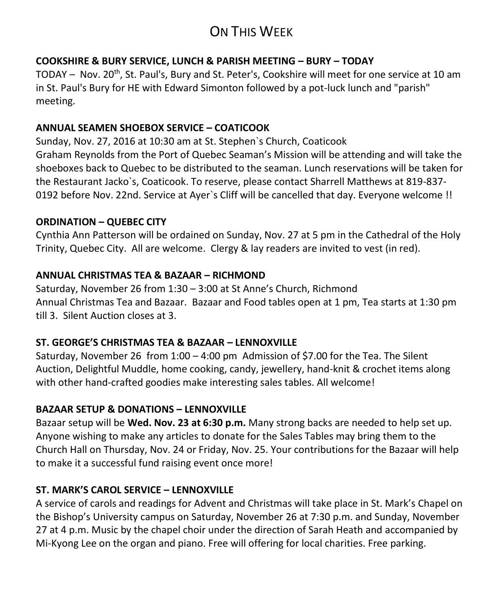## ON THIS WEEK

#### **COOKSHIRE & BURY SERVICE, LUNCH & PARISH MEETING – BURY – TODAY**

TODAY – Nov. 20<sup>th</sup>, St. Paul's, Bury and St. Peter's, Cookshire will meet for one service at 10 am in St. Paul's Bury for HE with Edward Simonton followed by a pot-luck lunch and "parish" meeting.

#### **ANNUAL SEAMEN SHOEBOX SERVICE – COATICOOK**

Sunday, Nov. 27, 2016 at 10:30 am at St. Stephen`s Church, Coaticook Graham Reynolds from the Port of Quebec Seaman's Mission will be attending and will take the shoeboxes back to Quebec to be distributed to the seaman. Lunch reservations will be taken for the Restaurant Jacko`s, Coaticook. To reserve, please contact Sharrell Matthews at 819-837- 0192 before Nov. 22nd. Service at Ayer`s Cliff will be cancelled that day. Everyone welcome !!

#### **ORDINATION – QUEBEC CITY**

Cynthia Ann Patterson will be ordained on Sunday, Nov. 27 at 5 pm in the Cathedral of the Holy Trinity, Quebec City. All are welcome. Clergy & lay readers are invited to vest (in red).

#### **ANNUAL CHRISTMAS TEA & BAZAAR – RICHMOND**

Saturday, November 26 from 1:30 – 3:00 at St Anne's Church, Richmond Annual Christmas Tea and Bazaar. Bazaar and Food tables open at 1 pm, Tea starts at 1:30 pm till 3. Silent Auction closes at 3.

#### **ST. GEORGE'S CHRISTMAS TEA & BAZAAR – LENNOXVILLE**

Saturday, November 26 from 1:00 – 4:00 pm Admission of \$7.00 for the Tea. The Silent Auction, Delightful Muddle, home cooking, candy, jewellery, hand-knit & crochet items along with other hand-crafted goodies make interesting sales tables. All welcome!

#### **BAZAAR SETUP & DONATIONS – LENNOXVILLE**

Bazaar setup will be **Wed. Nov. 23 at 6:30 p.m.** Many strong backs are needed to help set up. Anyone wishing to make any articles to donate for the Sales Tables may bring them to the Church Hall on Thursday, Nov. 24 or Friday, Nov. 25. Your contributions for the Bazaar will help to make it a successful fund raising event once more!

#### **ST. MARK'S CAROL SERVICE – LENNOXVILLE**

A service of carols and readings for Advent and Christmas will take place in St. Mark's Chapel on the Bishop's University campus on Saturday, November 26 at 7:30 p.m. and Sunday, November 27 at 4 p.m. Music by the chapel choir under the direction of Sarah Heath and accompanied by Mi-Kyong Lee on the organ and piano. Free will offering for local charities. Free parking.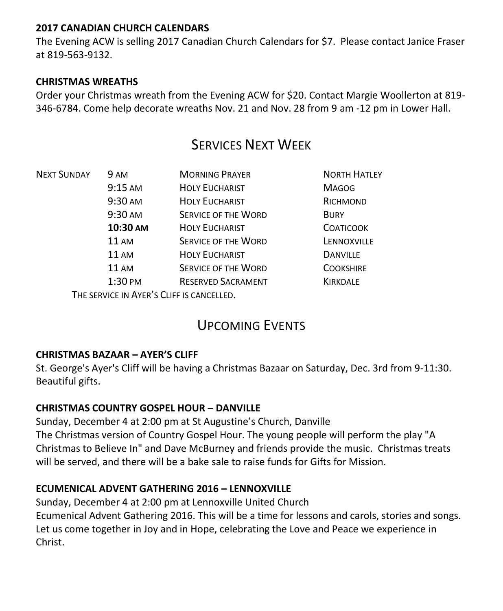#### **2017 CANADIAN CHURCH CALENDARS**

The Evening ACW is selling 2017 Canadian Church Calendars for \$7. Please contact Janice Fraser at 819-563-9132.

#### **CHRISTMAS WREATHS**

Order your Christmas wreath from the Evening ACW for \$20. Contact Margie Woollerton at 819- 346-6784. Come help decorate wreaths Nov. 21 and Nov. 28 from 9 am -12 pm in Lower Hall.

### **SERVICES NEXT WEEK**

| <b>NEXT SUNDAY</b> | 9 AM               | <b>MORNING PRAYER</b>                     | <b>NORTH HATLEY</b> |
|--------------------|--------------------|-------------------------------------------|---------------------|
|                    | $9:15$ AM          | <b>HOLY EUCHARIST</b>                     | <b>MAGOG</b>        |
|                    | 9:30 AM            | <b>HOLY EUCHARIST</b>                     | RICHMOND            |
|                    | 9:30 AM            | <b>SERVICE OF THE WORD</b>                | <b>BURY</b>         |
|                    | 10:30 AM           | <b>HOLY EUCHARIST</b>                     | <b>COATICOOK</b>    |
|                    | <b>11 AM</b>       | <b>SERVICE OF THE WORD</b>                | LENNOXVILLE         |
|                    | <b>11 AM</b>       | <b>HOLY EUCHARIST</b>                     | <b>DANVILLE</b>     |
|                    | <b>11 AM</b>       | SERVICE OF THE WORD                       | <b>COOKSHIRE</b>    |
|                    | $1:30 \text{ }$ PM | <b>RESERVED SACRAMENT</b>                 | <b>KIRKDALE</b>     |
|                    |                    | THE SERVICE IN AYER'S CLIFF IS CANCELLED. |                     |

## UPCOMING EVENTS

#### **CHRISTMAS BAZAAR – AYER'S CLIFF**

St. George's Ayer's Cliff will be having a Christmas Bazaar on Saturday, Dec. 3rd from 9-11:30. Beautiful gifts.

#### **CHRISTMAS COUNTRY GOSPEL HOUR – DANVILLE**

Sunday, December 4 at 2:00 pm at St Augustine's Church, Danville The Christmas version of Country Gospel Hour. The young people will perform the play "A Christmas to Believe In" and Dave McBurney and friends provide the music. Christmas treats will be served, and there will be a bake sale to raise funds for Gifts for Mission.

#### **ECUMENICAL ADVENT GATHERING 2016 – LENNOXVILLE**

Sunday, December 4 at 2:00 pm at Lennoxville United Church Ecumenical Advent Gathering 2016. This will be a time for lessons and carols, stories and songs. Let us come together in Joy and in Hope, celebrating the Love and Peace we experience in Christ.